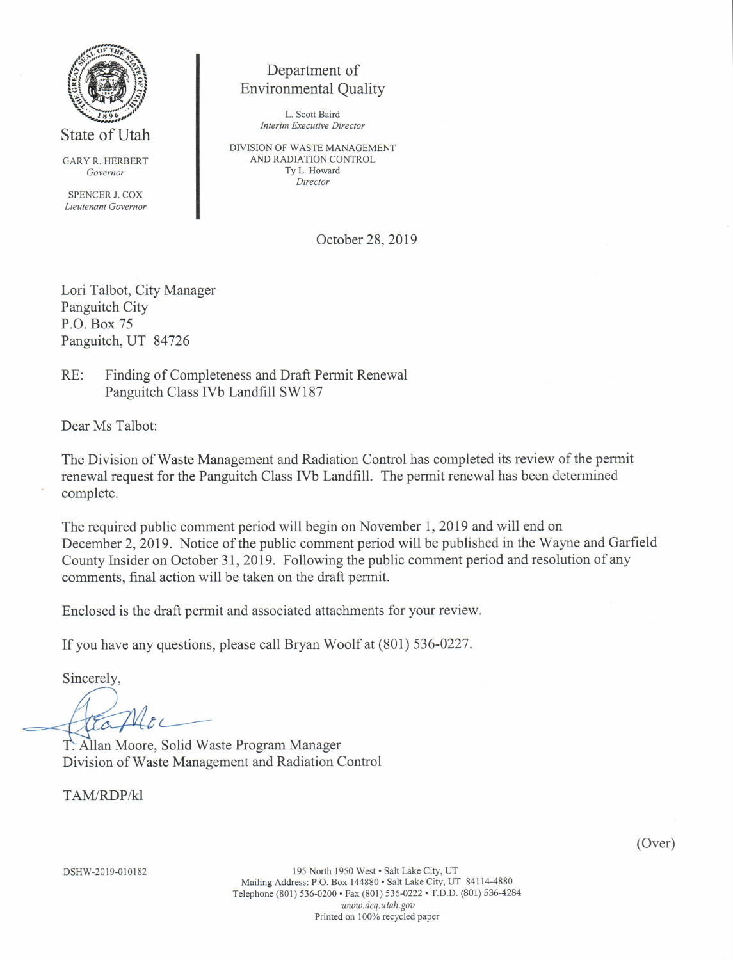

State of Utah

GARY R. HERBERT Govemor

SPENCER J. COX Lieutenant Governor

### Department of Environmental Quality

L. Scott Baird Interim Executive Director

DIVISION OF WASTE MANAGEMENT AND RADIATION CONTROL Ty L. Howard Director

October 28,2019

Lori Talbot, City Manager Panguitch City P.O. Box 75 Panguitch, UT 84726

RE: Finding of Completeness and Draft Permit Renewal Panguitch Class IVb Landfill SW187

Dear Ms Talbot:

The Division of Waste Management and Radiation Control has completed its review of the permit renewal request for the Panguitch Class [Vb Landfill. The permit renewal has been determined complete.

The required public comment period will begin on November 1, 2019 and will end on December 2, 2019. Notice of the public comment period will be published in the Wayne and Garfield County Insider on October 31,2019. Following the public comment period and resolution of any comments, final action will be taken on the draft permit.

Enclosed is the draft permit and associated attachments for your review.

If you have any questions, please call Bryan Woolf at (801) 536-0227.

Sincerely,

(----

T. Allan Moore, Solid Waste Program Manager Division of Waste Management and Radiation Control

TAM/RDP/kl

(Over)

195 North 1950 West · Salt Lake City, UT Mailing Address: P.O. Box 144880 . Salt Lake City, UT 84114-4880 Telephone (801) 536-0200 · Fax (801) 536-0222 · T.D.D. (801) 536-4284 www.deq.utah.gov Printed on 100% recycled paper

DSHW-2019-010182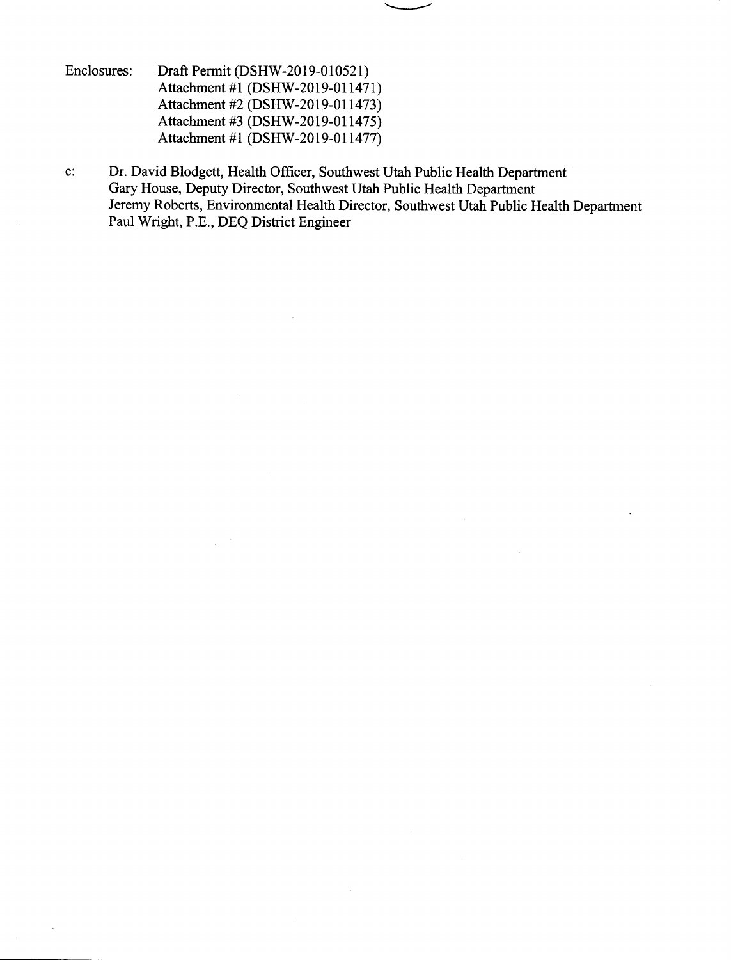- Enclosures: Draft Permit (DSHW-2019-010521) Attachment #1 (DSHW-2019-011471) Attachment #2 (DSHW-2019-011473) Attachment #3 (DSHW-2019-011475) Attachment #1 (DSHW-2019-011477)
- c: Dr. David Blodgett, Health Officer, Southwest Utah Public Health Department Gary House, Deputy Director, Southwest Utah Public Health Department Jeremy Roberts, Environmental Health Director, Southwest Utah Public Health Department Paul Wright, P.E., DEQ District Engineer

 $\overline{\phantom{a}}$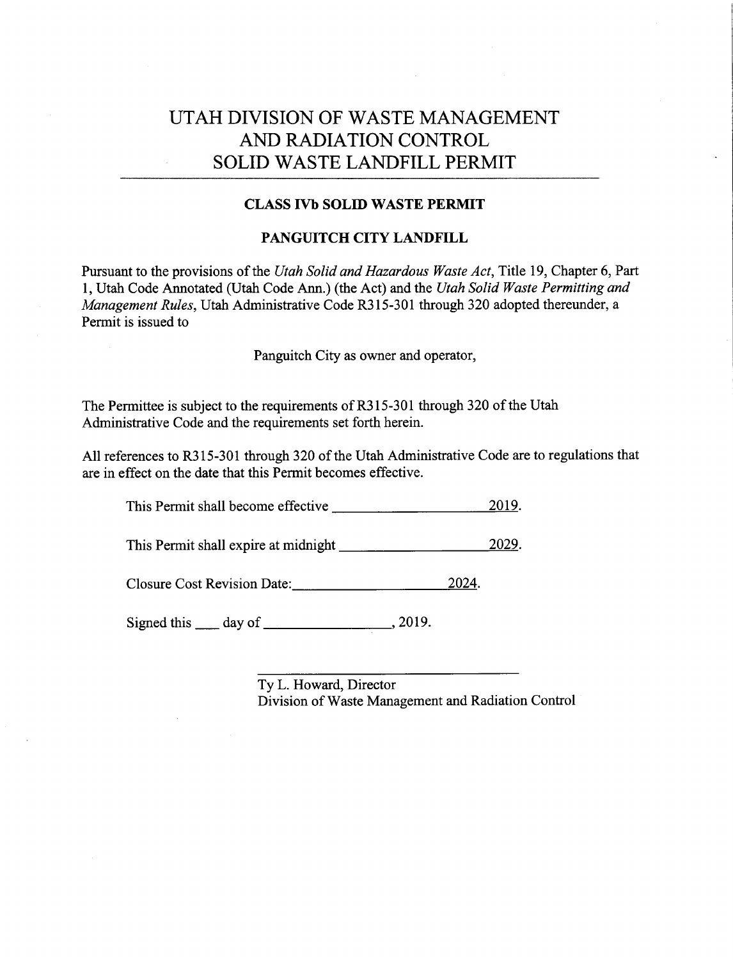## UTAH DIVISION OF WASTE MANAGEMENT AND RADIATION CONTROL SOLID WASTE LANDFILL PERMIT

#### CLASS IVb SOLD WASTE PERMIT

#### PANGUITCH CITY LANDFILL

Pursuant to the provisions of the Utah Solid and Hazardous Waste Act, Title 19, Chapter 6, Part 1, Utah Code Annotated (Utah Code Ann.) (the Act) and the Utah Solid Waste Permitting and Management Rules, Utah Administrative Code R315-301 through 320 adopted thereunder, a Permit is issued to

Panguitch City as owner and operator,

The Permittee is subject to the requirements of R315-301 through 320 of the Utah Administrative Code and the requirements set forth herein.

All references to R315-301 through 320 of the Utah Administrative Code are to regulations that are in effect on the date that this Permit becomes effective.

This Permit shall become effective 2019.

This Permit shall expire at midnight 2029.

Closure Cost Revision Date: 2024.

Signed this  $\_\_$  day of  $\_\_\_\_\_$ , 2019.

Ty L. Howard, Director Division of Waste Management and Radiation Control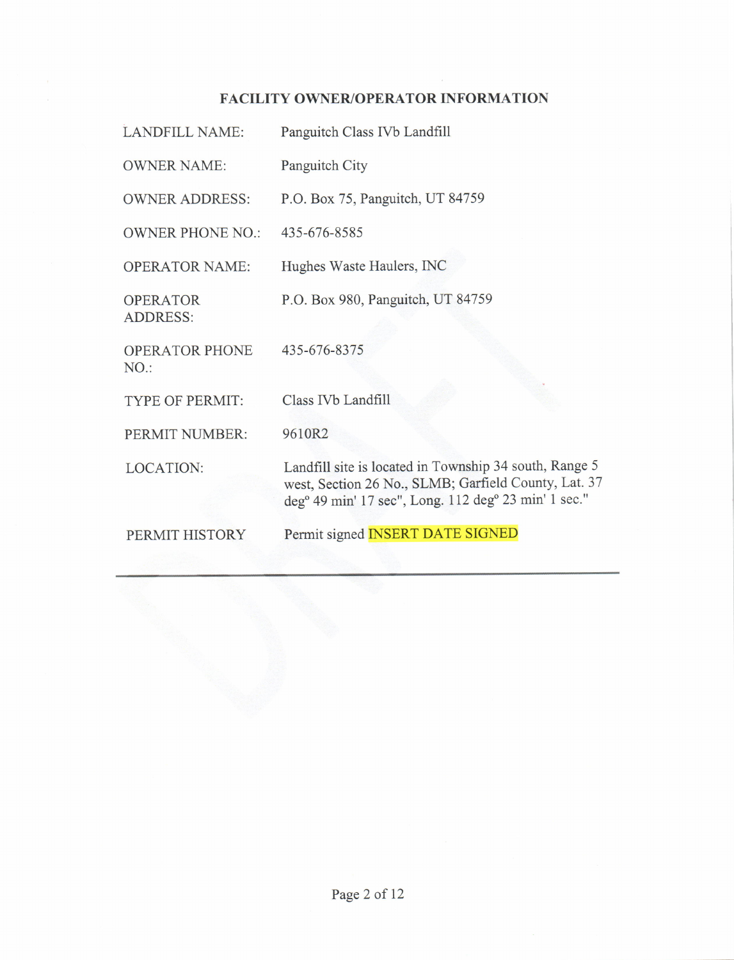# FACILITY OWNER/OPERATOR INFORMATION

| <b>LANDFILL NAME:</b>              | Panguitch Class IVb Landfill                                                                                                                                                                   |
|------------------------------------|------------------------------------------------------------------------------------------------------------------------------------------------------------------------------------------------|
| <b>OWNER NAME:</b>                 | Panguitch City                                                                                                                                                                                 |
| <b>OWNER ADDRESS:</b>              | P.O. Box 75, Panguitch, UT 84759                                                                                                                                                               |
| <b>OWNER PHONE NO.:</b>            | 435-676-8585                                                                                                                                                                                   |
| <b>OPERATOR NAME:</b>              | Hughes Waste Haulers, INC                                                                                                                                                                      |
| <b>OPERATOR</b><br><b>ADDRESS:</b> | P.O. Box 980, Panguitch, UT 84759                                                                                                                                                              |
| <b>OPERATOR PHONE</b><br>NO.       | 435-676-8375                                                                                                                                                                                   |
| <b>TYPE OF PERMIT:</b>             | Class IVb Landfill                                                                                                                                                                             |
| PERMIT NUMBER:                     | 9610R2                                                                                                                                                                                         |
| <b>LOCATION:</b>                   | Landfill site is located in Township 34 south, Range 5<br>west, Section 26 No., SLMB; Garfield County, Lat. 37<br>deg <sup>o</sup> 49 min' 17 sec", Long. 112 deg <sup>o</sup> 23 min' 1 sec." |
| PERMIT HISTORY                     | Permit signed <b>INSERT DATE SIGNED</b>                                                                                                                                                        |